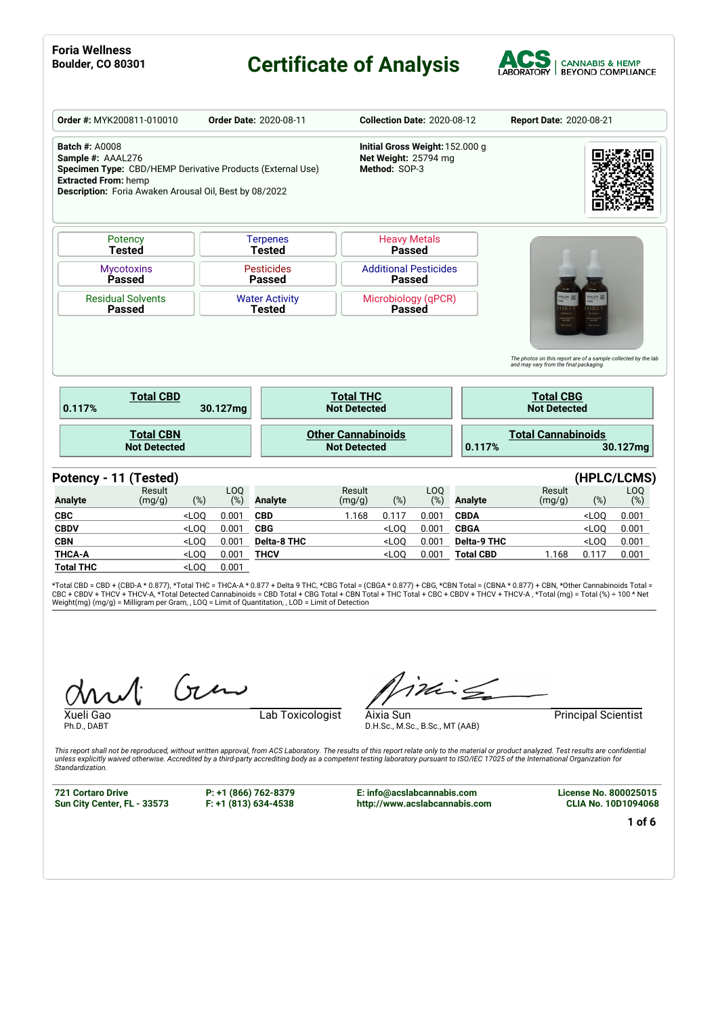#### **Boulding Certificate of Analysis**



| Order #: MYK200811-010010                                                                                                                                                                         |         |            | <b>Order Date: 2020-08-11</b>          |                                                  |                                                                                                      | <b>Collection Date: 2020-08-12</b> |                  | <b>Report Date: 2020-08-21</b>                                                    |             |              |
|---------------------------------------------------------------------------------------------------------------------------------------------------------------------------------------------------|---------|------------|----------------------------------------|--------------------------------------------------|------------------------------------------------------------------------------------------------------|------------------------------------|------------------|-----------------------------------------------------------------------------------|-------------|--------------|
| <b>Batch #: A0008</b><br>Sample #: AAAL276<br>Specimen Type: CBD/HEMP Derivative Products (External Use)<br><b>Extracted From: hemp</b><br>Description: Foria Awaken Arousal Oil, Best by 08/2022 |         |            |                                        |                                                  | Initial Gross Weight: 152.000 g<br>Net Weight: 25794 mg<br>Method: SOP-3                             |                                    |                  |                                                                                   |             |              |
| Potency<br><b>Tested</b>                                                                                                                                                                          |         |            | <b>Terpenes</b><br><b>Tested</b>       |                                                  | <b>Heavy Metals</b><br><b>Passed</b>                                                                 |                                    |                  |                                                                                   |             |              |
| <b>Mycotoxins</b><br>Passed                                                                                                                                                                       |         |            | <b>Pesticides</b><br><b>Passed</b>     |                                                  | <b>Additional Pesticides</b><br><b>Passed</b>                                                        |                                    |                  |                                                                                   |             |              |
| <b>Residual Solvents</b>                                                                                                                                                                          |         |            | <b>Water Activity</b><br><b>Tested</b> |                                                  | Microbiology (qPCR)<br><b>Passed</b>                                                                 |                                    |                  |                                                                                   |             |              |
| <b>Passed</b>                                                                                                                                                                                     |         |            |                                        |                                                  |                                                                                                      |                                    |                  | The photos on this report are of a sample collected by the lab                    |             |              |
| <b>Total CBD</b>                                                                                                                                                                                  |         | 30.127mg   |                                        | <b>Total THC</b><br><b>Not Detected</b>          |                                                                                                      |                                    |                  | and may vary from the final packaging.<br><b>Total CBG</b><br><b>Not Detected</b> |             |              |
| <b>Total CBN</b><br><b>Not Detected</b>                                                                                                                                                           |         |            |                                        | <b>Other Cannabinoids</b><br><b>Not Detected</b> |                                                                                                      |                                    | 0.117%           | <b>Total Cannabinoids</b>                                                         |             | 30.127mg     |
| 0.117%<br>Potency - 11 (Tested)                                                                                                                                                                   |         |            |                                        |                                                  |                                                                                                      |                                    |                  |                                                                                   | (HPLC/LCMS) |              |
| Result<br>(mg/g)                                                                                                                                                                                  | (%)     | LOQ<br>(%) | <b>Analyte</b>                         | Result<br>(mg/g)                                 | (%)                                                                                                  | LOQ<br>(%)                         | <b>Analyte</b>   | Result<br>(mg/g)                                                                  | $(\%)$      | LOQ          |
|                                                                                                                                                                                                   | $<$ LOO | 0.001      | <b>CBD</b>                             | 1.168                                            | 0.117                                                                                                | 0.001                              | <b>CBDA</b>      |                                                                                   | $<$ LOO     | (%)<br>0.001 |
|                                                                                                                                                                                                   | $<$ LOQ | 0.001      | <b>CBG</b>                             |                                                  | $<$ LOO                                                                                              | 0.001                              | <b>CBGA</b>      |                                                                                   | $<$ LOO     | 0.001        |
|                                                                                                                                                                                                   | $<$ LOQ | 0.001      | <b>Delta-8 THC</b>                     |                                                  | $<$ LOO                                                                                              | 0.001                              | Delta-9 THC      |                                                                                   | $<$ LOQ     | 0.001        |
| <b>Analyte</b><br><b>CBC</b><br><b>CBDV</b><br><b>CBN</b><br><b>THCA-A</b>                                                                                                                        | $<$ LOQ | 0.001      | <b>THCV</b>                            |                                                  | <loo< td=""><td>0.001</td><td><b>Total CBD</b></td><td>1.168</td><td>0.117</td><td>0.001</td></loo<> | 0.001                              | <b>Total CBD</b> | 1.168                                                                             | 0.117       | 0.001        |

\*Total CBD = CBD + (CBD-A \* 0.877), \*Total THC = THCA-A \* 0.877 + Delta 9 THC, \*CBG Total = (CBGA \* 0.877) + CBG, \*CBN Total = (CBNA \* 0.877) + CBN, \*Other Cannabinoids Total =<br>CBC + CBDV + THCV + THCV-A, \*Total Detected C

 $(n\mu)$ 

Ph.D., DABT

Xueli Gao **Lab Toxicologist** 

inis

Aixia Sun Principal Scientist

This report shall not be reproduced, without written approval, from ACS Laboratory. The results of this report relate only to the material or product analyzed. Test results are confidential<br>unless explicitly waived otherwi *Standardization.*

**721 Cortaro Drive Sun City Center, FL - 33573** **P: +1 (866) 762-8379 F: +1 (813) 634-4538** **E: info@acslabcannabis.com http://www.acslabcannabis.com**

D.H.Sc., M.Sc., B.Sc., MT (AAB)

**License No. 800025015 CLIA No. 10D1094068**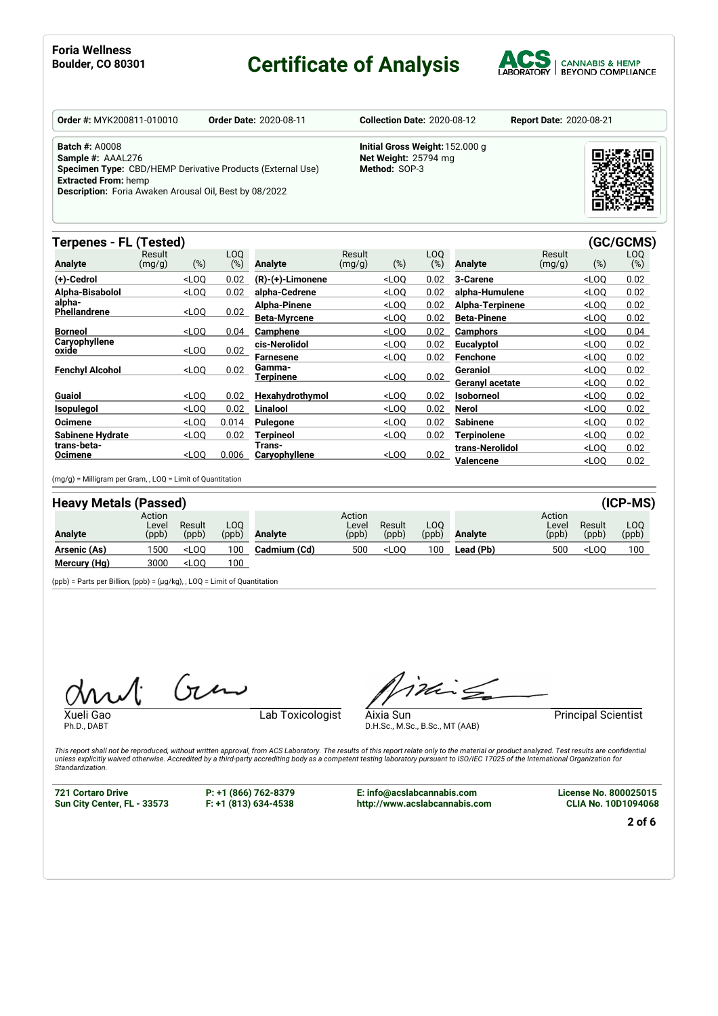#### **Boulding Certificate of Analysis**



| <b>Order #: MYK200811-010010</b>                                                                                                                                                                  | <b>Order Date: 2020-08-11</b> | <b>Collection Date: 2020-08-12</b>                                       | <b>Report Date: 2020-08-21</b> |
|---------------------------------------------------------------------------------------------------------------------------------------------------------------------------------------------------|-------------------------------|--------------------------------------------------------------------------|--------------------------------|
| <b>Batch #: A0008</b><br>Sample #: AAAL276<br>Specimen Type: CBD/HEMP Derivative Products (External Use)<br><b>Extracted From: hemp</b><br>Description: Foria Awaken Arousal Oil, Best by 08/2022 |                               | Initial Gross Weight: 152.000 g<br>Net Weight: 25794 mg<br>Method: SOP-3 |                                |

#### **Terpenes - FL (Tested) (GC/GCMS)**

| i vipeneo                     | $1 - 1 - 2 - 3$  |                                                                                                                                                                                                 |            |                         |                  |                                                                                                             |            |                    |                  |                                  | $\sim$ , $\sim$ , $\sim$ , $\sim$ , |
|-------------------------------|------------------|-------------------------------------------------------------------------------------------------------------------------------------------------------------------------------------------------|------------|-------------------------|------------------|-------------------------------------------------------------------------------------------------------------|------------|--------------------|------------------|----------------------------------|-------------------------------------|
| <b>Analyte</b>                | Result<br>(mg/g) | (%)                                                                                                                                                                                             | LOO<br>(%) | <b>Analyte</b>          | Result<br>(mg/g) | (%)                                                                                                         | LOO<br>(%) | <b>Analyte</b>     | Result<br>(mg/g) | (%)                              | LOQ<br>(%)                          |
| (+)-Cedrol                    |                  | $<$ LOO                                                                                                                                                                                         | 0.02       | $(R)-(+)$ -Limonene     |                  | $<$ LOO                                                                                                     | 0.02       | 3-Carene           |                  | $<$ LOO                          | 0.02                                |
| Alpha-Bisabolol               |                  | $<$ LOO                                                                                                                                                                                         | 0.02       | alpha-Cedrene           |                  | $<$ LOQ                                                                                                     | 0.02       | alpha-Humulene     |                  | $<$ LOQ                          | 0.02                                |
| alpha-<br><b>Phellandrene</b> |                  | $<$ LOO                                                                                                                                                                                         | 0.02       | Alpha-Pinene            |                  | $<$ LOO                                                                                                     | 0.02       | Alpha-Terpinene    |                  | $<$ LOO                          | 0.02                                |
|                               |                  |                                                                                                                                                                                                 |            | <b>Beta-Myrcene</b>     |                  | $<$ LOO                                                                                                     | 0.02       | <b>Beta-Pinene</b> |                  | $<$ LOQ                          | 0.02                                |
| Borneol                       |                  | $<$ LOO                                                                                                                                                                                         | 0.04       | <b>Camphene</b>         |                  | $<$ LOQ                                                                                                     | 0.02       | Camphors           |                  | $<$ LOQ                          | 0.04                                |
| Caryophyllene<br>oxide        |                  | $<$ LOO                                                                                                                                                                                         | 0.02       | cis-Nerolidol           |                  | <loo< th=""><th>0.02</th><th>Eucalyptol</th><th></th><th><math>&lt;</math>LOQ</th><th>0.02</th></loo<>      | 0.02       | Eucalyptol         |                  | $<$ LOQ                          | 0.02                                |
|                               |                  |                                                                                                                                                                                                 |            | <b>Farnesene</b>        |                  | $<$ LOO                                                                                                     | 0.02       | <b>Fenchone</b>    |                  | $<$ LOQ                          | 0.02                                |
| <b>Fenchyl Alcohol</b>        |                  | $<$ LOQ                                                                                                                                                                                         | 0.02       | Gamma-<br>Terpinene     |                  | $<$ LOO                                                                                                     | 0.02       | Geraniol           |                  | $<$ LOQ                          | 0.02                                |
|                               |                  |                                                                                                                                                                                                 |            |                         |                  |                                                                                                             |            | Geranyl acetate    |                  | $<$ LOQ                          | 0.02                                |
| Guaiol                        |                  | $<$ LOQ                                                                                                                                                                                         | 0.02       | Hexahydrothymol         |                  | <loq< th=""><th>0.02</th><th>Isoborneol</th><th></th><th><math>&lt;</math>LOQ</th><th>0.02</th></loq<>      | 0.02       | Isoborneol         |                  | $<$ LOQ                          | 0.02                                |
| <b>Isopulegol</b>             |                  | $<$ LOQ                                                                                                                                                                                         | 0.02       | Linalool                |                  | $<$ LOQ                                                                                                     | 0.02       | Nerol              |                  | $<$ LOQ                          | 0.02                                |
| <b>Ocimene</b>                |                  | $<$ LOQ                                                                                                                                                                                         | 0.014      | Pulegone                |                  | $<$ LOQ                                                                                                     | 0.02       | <b>Sabinene</b>    |                  | $<$ LOQ                          | 0.02                                |
| <b>Sabinene Hydrate</b>       |                  | $<$ LOO                                                                                                                                                                                         | 0.02       | Terpineol               |                  | $<$ LOQ                                                                                                     | 0.02       | Terpinolene        |                  | $<$ LOQ                          | 0.02                                |
| trans-beta-                   |                  | <loo< th=""><th>0.006</th><th>Trans-<br/>Caryophyllene</th><th></th><th><loo< th=""><th>0.02</th><th>trans-Nerolidol</th><th></th><th><math>&lt;</math>LOQ</th><th>0.02</th></loo<></th></loo<> | 0.006      | Trans-<br>Caryophyllene |                  | <loo< th=""><th>0.02</th><th>trans-Nerolidol</th><th></th><th><math>&lt;</math>LOQ</th><th>0.02</th></loo<> | 0.02       | trans-Nerolidol    |                  | $<$ LOQ                          | 0.02                                |
| Ocimene                       |                  |                                                                                                                                                                                                 |            |                         |                  |                                                                                                             |            | Valencene          |                  | <loq< th=""><th>0.02</th></loq<> | 0.02                                |

(mg/g) = Milligram per Gram, , LOQ = Limit of Quantitation

| <b>Heavy Metals (Passed)</b> |                          |                                                                                                         |              |                |                          |                 |              |                |                          |                 | $(ICP-MS)$   |
|------------------------------|--------------------------|---------------------------------------------------------------------------------------------------------|--------------|----------------|--------------------------|-----------------|--------------|----------------|--------------------------|-----------------|--------------|
| Analyte                      | Action<br>Level<br>(ppb) | Result<br>(ppb)                                                                                         | LOO<br>(ppb) | <b>Analyte</b> | Action<br>Level<br>(ppb) | Result<br>(ppb) | LOO<br>(ppb) | <b>Analyte</b> | Action<br>Level<br>(ppb) | Result<br>(ppb) | LOQ<br>(ppb) |
| Arsenic (As)                 | 1500                     | $<$ LOO                                                                                                 | 100          | Cadmium (Cd)   | 500                      | $<$ LOO         | 100          | Lead (Pb)      | 500                      | $<$ LOO         | 100          |
| Mercury (Hg)                 | 3000                     | <loq< th=""><th>100</th><th></th><th></th><th></th><th></th><th></th><th></th><th></th><th></th></loq<> | 100          |                |                          |                 |              |                |                          |                 |              |

(ppb) = Parts per Billion, (ppb) = (µg/kg), , LOQ = Limit of Quantitation

 $(n)$ 

Ph.D., DABT

Xueli Gao **Lab Toxicologist** 

inis

Aixia Sun Principal Scientist

This report shall not be reproduced, without written approval, from ACS Laboratory. The results of this report relate only to the material or product analyzed. Test results are confidential<br>unless explicitly waived otherwi *Standardization.*

**721 Cortaro Drive Sun City Center, FL - 33573** **P: +1 (866) 762-8379 F: +1 (813) 634-4538**

**E: info@acslabcannabis.com http://www.acslabcannabis.com**

D.H.Sc., M.Sc., B.Sc., MT (AAB)

**License No. 800025015 CLIA No. 10D1094068**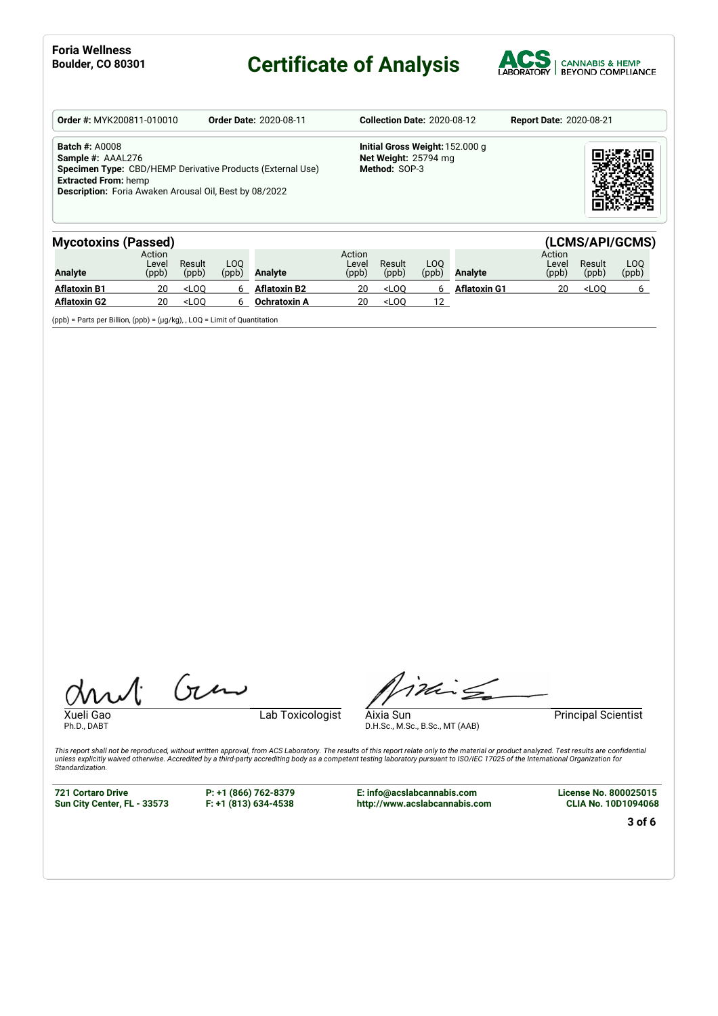# **Certificate of Analysis**



| <b>Order #: MYK200811-010010</b>                                                                                                                                                                         | <b>Order Date: 2020-08-11</b> | <b>Collection Date: 2020-08-12</b>                                       | <b>Report Date: 2020-08-21</b> |
|----------------------------------------------------------------------------------------------------------------------------------------------------------------------------------------------------------|-------------------------------|--------------------------------------------------------------------------|--------------------------------|
| <b>Batch #: A0008</b><br>Sample #: AAAL276<br>Specimen Type: CBD/HEMP Derivative Products (External Use)<br><b>Extracted From: hemp</b><br><b>Description:</b> Foria Awaken Arousal Oil, Best by 08/2022 |                               | Initial Gross Weight: 152,000 g<br>Net Weight: 25794 mg<br>Method: SOP-3 |                                |

| <b>Mycotoxins (Passed)</b> |                          |                                                                                                                                                                                       |              |                     |                          |                                                                                                           |               |                     |                          |                 | (LCMS/API/GCMS)         |
|----------------------------|--------------------------|---------------------------------------------------------------------------------------------------------------------------------------------------------------------------------------|--------------|---------------------|--------------------------|-----------------------------------------------------------------------------------------------------------|---------------|---------------------|--------------------------|-----------------|-------------------------|
| <b>Analyte</b>             | Action<br>Level<br>(ppb) | Result<br>(ppb)                                                                                                                                                                       | LOO<br>(ppb) | <b>Analyte</b>      | Action<br>Level<br>(ppb) | Result<br>(ppb)                                                                                           | LOO.<br>(ppb) | <b>Analyte</b>      | Action<br>Level<br>(ppb) | Result<br>(ppb) | L <sub>0</sub><br>(ppb) |
| <b>Aflatoxin B1</b>        |                          | <loo< th=""><th></th><th><b>Aflatoxin B2</b></th><th>20</th><th><l00< th=""><th></th><th><b>Aflatoxin G1</b></th><th>20</th><th><math>&lt;</math>LOO</th><th></th></l00<></th></loo<> |              | <b>Aflatoxin B2</b> | 20                       | <l00< th=""><th></th><th><b>Aflatoxin G1</b></th><th>20</th><th><math>&lt;</math>LOO</th><th></th></l00<> |               | <b>Aflatoxin G1</b> | 20                       | $<$ LOO         |                         |
| <b>Aflatoxin G2</b>        | 20                       | $<$ LOO                                                                                                                                                                               |              | Ochratoxin A        | 20                       | $<$ LOO                                                                                                   |               |                     |                          |                 |                         |

(ppb) = Parts per Billion, (ppb) = (µg/kg), , LOQ = Limit of Quantitation

Ph.D., DABT

Xueli Gao Lab Toxicologist

inis

Aixia Sun Principal Scientist

This report shall not be reproduced, without written approval, from ACS Laboratory. The results of this report relate only to the material or product analyzed. Test results are confidential<br>unless explicitly waived otherwi

**721 Cortaro Drive Sun City Center, FL - 33573** **P: +1 (866) 762-8379 F: +1 (813) 634-4538**

 $(n\mu)$ 

**E: info@acslabcannabis.com http://www.acslabcannabis.com**

D.H.Sc., M.Sc., B.Sc., MT (AAB)

**License No. 800025015 CLIA No. 10D1094068**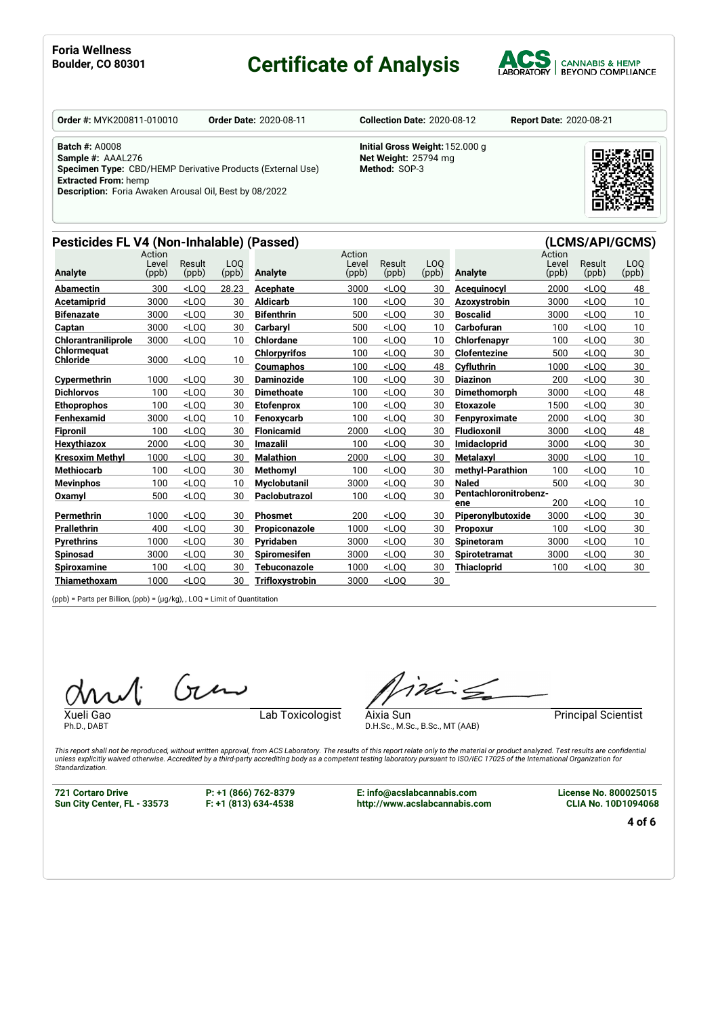#### **Boulder, CO <sup>80301</sup> Certificate of Analysis**



**Order #:** MYK200811-010010 **Order Date:** 2020-08-11 **Collection Date:** 2020-08-12 **Report Date:** 2020-08-21

**Batch #:** A0008 **Sample #:** AAAL276 **Specimen Type:** CBD/HEMP Derivative Products (External Use) **Extracted From:** hemp

**Description:** Foria Awaken Arousal Oil, Best by 08/2022

#### **Pesticides FL V4 (Non-Inhalable) (Passed) (LCMS/API/GCMS)**

| Initial Gross Weight: 152.000 g |
|---------------------------------|
| Net Weight: 25794 mg            |
| Method: SOP-3                   |
|                                 |



|                                | Action<br>Level | Result                                                                                                                                                                                  | LO <sub>O</sub> |                     | Action<br>Level | Result  | LO <sub>O</sub> |                              | Action<br>Level | Result  | LO <sub>O</sub> |
|--------------------------------|-----------------|-----------------------------------------------------------------------------------------------------------------------------------------------------------------------------------------|-----------------|---------------------|-----------------|---------|-----------------|------------------------------|-----------------|---------|-----------------|
| <b>Analyte</b>                 | (ppb)           | (ppb)                                                                                                                                                                                   | (ppb)           | <b>Analyte</b>      | (ppb)           | (ppb)   | (ppb)           | <b>Analyte</b>               | (ppb)           | (ppb)   | (ppb)           |
| <b>Abamectin</b>               | 300             | $<$ LOO                                                                                                                                                                                 | 28.23           | Acephate            | 3000            | $<$ LOO | 30              | Acequinocyl                  | 2000            | $<$ LOO | 48              |
| Acetamiprid                    | 3000            | $<$ LOO                                                                                                                                                                                 | 30              | <b>Aldicarb</b>     | 100             | $<$ LOO | 30              | Azoxystrobin                 | 3000            | $<$ LOQ | 10 <sup>°</sup> |
| <b>Bifenazate</b>              | 3000            | $<$ LOO                                                                                                                                                                                 | 30              | <b>Bifenthrin</b>   | 500             | $<$ LOO | 30              | <b>Boscalid</b>              | 3000            | $<$ LOQ | 10 <sup>1</sup> |
| Captan                         | 3000            | $<$ LOO                                                                                                                                                                                 | 30              | Carbarvl            | 500             | $<$ LOO | 10              | Carbofuran                   | 100             | $<$ LOO | 10 <sup>°</sup> |
| Chlorantraniliprole            | 3000            | <loq< th=""><th>10</th><th><b>Chlordane</b></th><th>100</th><th><math>&lt;</math>LOO</th><th>10</th><th>Chlorfenapyr</th><th>100</th><th><math>&lt;</math>LOQ</th><th>30</th></loq<>    | 10              | <b>Chlordane</b>    | 100             | $<$ LOO | 10              | Chlorfenapyr                 | 100             | $<$ LOQ | 30              |
| Chlormequat<br><b>Chloride</b> | 3000            | $<$ LOQ                                                                                                                                                                                 | 10 <sup>1</sup> | <b>Chlorpyrifos</b> | 100             | $<$ LOO | 30              | <b>Clofentezine</b>          | 500             | $<$ LOO | 30              |
|                                |                 |                                                                                                                                                                                         |                 | <b>Coumaphos</b>    | 100             | $<$ LOO | 48              | Cyfluthrin                   | 1000            | $<$ LOO | 30              |
| Cypermethrin                   | 1000            | $<$ LOO                                                                                                                                                                                 | 30              | <b>Daminozide</b>   | 100             | $<$ LOO | 30              | <b>Diazinon</b>              | 200             | $<$ LOO | 30              |
| <b>Dichlorvos</b>              | 100             | $<$ LOO                                                                                                                                                                                 | 30              | <b>Dimethoate</b>   | 100             | $<$ LOO | 30              | <b>Dimethomorph</b>          | 3000            | $<$ LOO | 48              |
| <b>Ethoprophos</b>             | 100             | $<$ LOO                                                                                                                                                                                 | 30              | <b>Etofenprox</b>   | 100             | $<$ LOO | 30              | <b>Etoxazole</b>             | 1500            | $<$ LOQ | 30              |
| Fenhexamid                     | 3000            | $<$ LOO                                                                                                                                                                                 | 10              | Fenoxycarb          | 100             | $<$ LOO | 30              | Fenpyroximate                | 2000            | $<$ LOO | 30              |
| <b>Fipronil</b>                | 100             | $<$ LOO                                                                                                                                                                                 | 30              | <b>Flonicamid</b>   | 2000            | $<$ LOO | 30              | <b>Fludioxonil</b>           | 3000            | $<$ LOO | 48              |
| <b>Hexythiazox</b>             | 2000            | $<$ LOO                                                                                                                                                                                 | 30              | <b>Imazalil</b>     | 100             | $<$ LOO | 30              | <b>Imidacloprid</b>          | 3000            | $<$ LOO | 30              |
| <b>Kresoxim Methvl</b>         | 1000            | $<$ LOO                                                                                                                                                                                 | 30              | <b>Malathion</b>    | 2000            | $<$ LOO | 30              | Metalaxvl                    | 3000            | $<$ LOO | 10              |
| <b>Methiocarb</b>              | 100             | $<$ LOO                                                                                                                                                                                 | 30              | <b>Methomvl</b>     | 100             | $<$ LOO | 30              | methyl-Parathion             | 100             | $<$ LOQ | 10 <sup>°</sup> |
| <b>Mevinphos</b>               | 100             | $<$ LOO                                                                                                                                                                                 | 10              | <b>Myclobutanil</b> | 3000            | $<$ LOO | 30              | <b>Naled</b>                 | 500             | $<$ LOO | 30              |
| Oxamyl                         | 500             | $<$ LOQ                                                                                                                                                                                 | 30              | Paclobutrazol       | 100             | $<$ LOQ | 30              | Pentachloronitrobenz-<br>ene | 200             | $<$ LOO | 10 <sup>°</sup> |
| Permethrin                     | 1000            | $<$ LOO                                                                                                                                                                                 | 30              | <b>Phosmet</b>      | 200             | $<$ LOO | 30              | Piperonylbutoxide            | 3000            | $<$ LOQ | 30              |
| <b>Prallethrin</b>             | 400             | $<$ LOO                                                                                                                                                                                 | 30              | Propiconazole       | 1000            | $<$ LOO | 30              | <b>Propoxur</b>              | 100             | $<$ LOO | 30              |
| <b>Pyrethrins</b>              | 1000            | $<$ LOO                                                                                                                                                                                 | 30              | Pvridaben           | 3000            | $<$ LOO | 30              | <b>Spinetoram</b>            | 3000            | $<$ LOO | 10 <sup>°</sup> |
| <b>Spinosad</b>                | 3000            | $<$ LOO                                                                                                                                                                                 | 30              | <b>Spiromesifen</b> | 3000            | $<$ LOQ | 30              | <b>Spirotetramat</b>         | 3000            | $<$ LOQ | 30              |
| <b>Spiroxamine</b>             | 100             | <loq< th=""><th>30</th><th>Tebuconazole</th><th>1000</th><th><math>&lt;</math>LOO</th><th>30</th><th><b>Thiacloprid</b></th><th>100</th><th><math>&lt;</math>LOQ</th><th>30</th></loq<> | 30              | Tebuconazole        | 1000            | $<$ LOO | 30              | <b>Thiacloprid</b>           | 100             | $<$ LOQ | 30              |
| Thiamethoxam                   | 1000            | $<$ LOO                                                                                                                                                                                 | 30              | Trifloxystrobin     | 3000            | $<$ LOO | 30              |                              |                 |         |                 |
|                                |                 |                                                                                                                                                                                         |                 |                     |                 |         |                 |                              |                 |         |                 |

(ppb) = Parts per Billion, (ppb) = (µg/kg), , LOQ = Limit of Quantitation

 $(n)$ 

Ph.D., DABT

Xueli Gao **Lab Toxicologist** 

inis

Aixia Sun **Aixia Sun** Principal Scientist

This report shall not be reproduced, without written approval, from ACS Laboratory. The results of this report relate only to the material or product analyzed. Test results are confidential<br>unless explicitly waived otherwi *Standardization.*

**721 Cortaro Drive Sun City Center, FL - 33573**

**P: +1 (866) 762-8379 F: +1 (813) 634-4538** **E: info@acslabcannabis.com http://www.acslabcannabis.com**

D.H.Sc., M.Sc., B.Sc., MT (AAB)

**License No. 800025015 CLIA No. 10D1094068**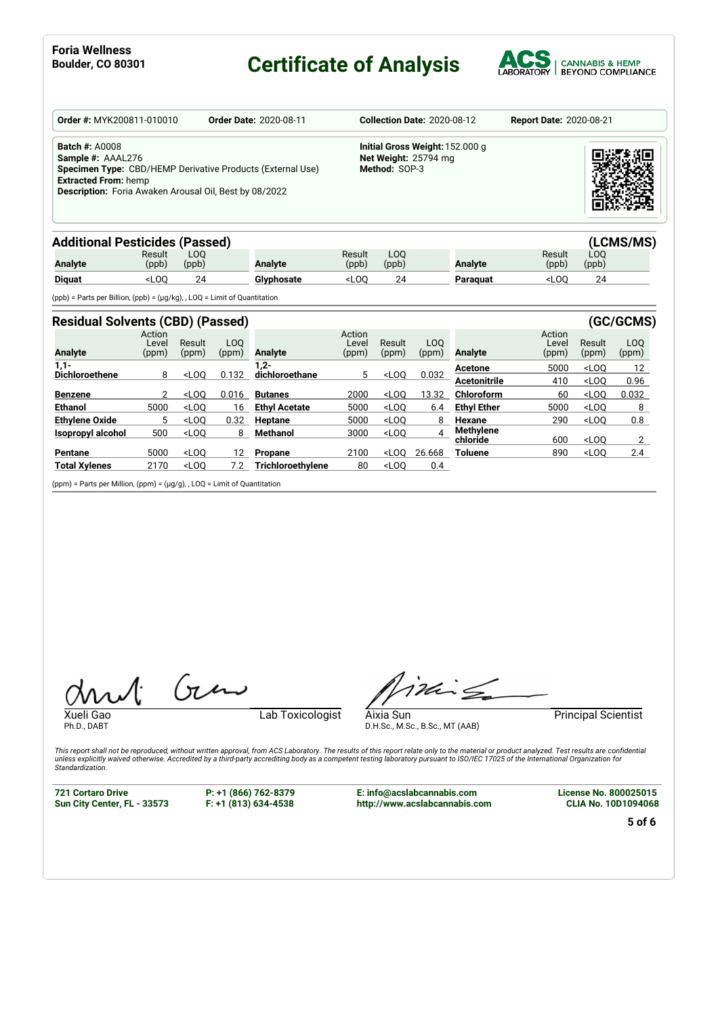#### **Boulding Certificate of Analysis**



| Order #: MYK200811-010010                                                                                                                  |                 |              | <b>Order Date: 2020-08-11</b>                              |                 |                                       | Collection Date: 2020-08-12     | <b>Report Date: 2020-08-21</b> |              |
|--------------------------------------------------------------------------------------------------------------------------------------------|-----------------|--------------|------------------------------------------------------------|-----------------|---------------------------------------|---------------------------------|--------------------------------|--------------|
| <b>Batch #: A0008</b><br>Sample #: AAAL276<br><b>Extracted From: hemp</b><br><b>Description:</b> Foria Awaken Arousal Oil, Best by 08/2022 |                 |              | Specimen Type: CBD/HEMP Derivative Products (External Use) |                 | Net Weight: 25794 mg<br>Method: SOP-3 | Initial Gross Weight: 152.000 g |                                |              |
| <b>Additional Pesticides (Passed)</b>                                                                                                      |                 |              |                                                            |                 |                                       |                                 |                                | (LCMS/MS)    |
| <b>Analyte</b>                                                                                                                             | Result<br>(ppb) | LOO<br>(ppb) | <b>Analyte</b>                                             | Result<br>(ppb) | L <sub>O</sub> O<br>(ppb)             | <b>Analyte</b>                  | Result<br>(ppb)                | LOO<br>(ppb) |

| <b>Analyte</b> | Result<br>(ppb) | LOO<br>(ppb) | Analvte             | Result<br>(ppb) | LOO<br>(ppb) | Analvte  | Result<br>(ppb) | LOO<br>(ppb) |  |
|----------------|-----------------|--------------|---------------------|-----------------|--------------|----------|-----------------|--------------|--|
| <b>Diguat</b>  | LOC             | 24           | Clynhoeste<br>usalt | LOC             | n.<br>, д    | Paraguat | LOC             | ົ<br>        |  |
| $-122$         |                 |              | .                   |                 |              |          |                 |              |  |

(ppb) = Parts per Billion, (ppb) = (µg/kg), , LOQ = Limit of Quantitation

| <b>Residual Solvents (CBD) (Passed)</b> |                          |                 |                           |                      |                          |                 |             |                       |                          |                 | (GC/GCMS)                 |
|-----------------------------------------|--------------------------|-----------------|---------------------------|----------------------|--------------------------|-----------------|-------------|-----------------------|--------------------------|-----------------|---------------------------|
| <b>Analyte</b>                          | Action<br>Level<br>(ppm) | Result<br>(ppm) | L <sub>O</sub> O<br>(ppm) | Analyte              | Action<br>Level<br>(ppm) | Result<br>(ppm) | LOO<br>(ppm | Analyte               | Action<br>Level<br>(ppm) | Result<br>(ppm) | L <sub>O</sub> O<br>(ppm) |
| $1,1-$                                  |                          |                 |                           | . 2-                 |                          |                 |             | Acetone               | 5000                     | $<$ LOO         | 12                        |
| Dichloroethene                          | 8                        | $<$ LOO         | 0.132                     | dichloroethane       | 5                        | $<$ LOO         | 0.032       | <b>Acetonitrile</b>   | 410                      | $<$ LOO         | 0.96                      |
| <b>Benzene</b>                          | 2                        | $<$ LOO         | 0.016                     | <b>Butanes</b>       | 2000                     | $<$ LOO         | 13.32       | Chloroform            | 60                       | $<$ LOO         | 0.032                     |
| Ethanol                                 | 5000                     | $<$ LOO         | 16                        | <b>Ethyl Acetate</b> | 5000                     | $<$ LOO         | 6.4         | <b>Ethyl Ether</b>    | 5000                     | $<$ LOO         | 8                         |
| <b>Ethylene Oxide</b>                   | 5                        | $<$ LOO         | 0.32                      | <b>Heptane</b>       | 5000                     | $<$ LOO         | 8           | Hexane                | 290                      | $<$ LOO         | 0.8                       |
| <b>Isopropyl alcohol</b>                | 500                      | $<$ LOO         | 8                         | Methanol             | 3000                     | $<$ LOO         | 4           | Methylene<br>chloride | 600                      | $<$ LOO         | 2                         |
| <b>Pentane</b>                          | 5000                     | $<$ LOO         | 12                        | Propane              | 2100                     | $<$ LOO         | 26.668      | Toluene               | 890                      | $<$ LOO         | 2.4                       |
| <b>Total Xvienes</b>                    | 2170                     | $<$ LOO         | 7.2                       | Trichloroethylene    | 80                       | $<$ LOO         | 0.4         |                       |                          |                 |                           |

(ppm) = Parts per Million, (ppm) = (µg/g), , LOQ = Limit of Quantitation

Ph.D., DABT

Xueli Gao **Lab Toxicologist** 

ining

Aixia Sun Principal Scientist D.H.Sc., M.Sc., B.Sc., MT (AAB)

This report shall not be reproduced, without written approval, from ACS Laboratory. The results of this report relate only to the material or product analyzed. Test results are confidential<br>unless explicitly waived otherwi

**721 Cortaro Drive Sun City Center, FL - 33573** **P: +1 (866) 762-8379 F: +1 (813) 634-4538**

 $(n)$ 

**E: info@acslabcannabis.com http://www.acslabcannabis.com** **License No. 800025015 CLIA No. 10D1094068**